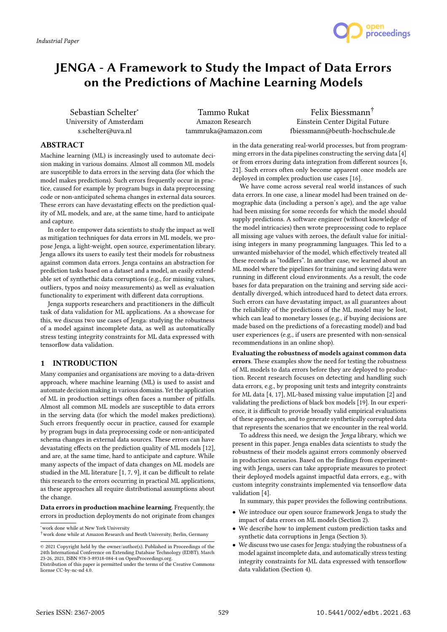

# JENGA - A Framework to Study the Impact of Data Errors on the Predictions of Machine Learning Models

Sebastian Schelter<sup>∗</sup> University of Amsterdam s.schelter@uva.nl

Tammo Rukat Amazon Research tammruka@amazon.com

Felix Biessmann† Einstein Center Digital Future fbiessmann@beuth-hochschule.de

# ABSTRACT

Machine learning (ML) is increasingly used to automate decision making in various domains. Almost all common ML models are susceptible to data errors in the serving data (for which the model makes predictions). Such errors frequently occur in practice, caused for example by program bugs in data preprocessing code or non-anticipated schema changes in external data sources. These errors can have devastating effects on the prediction quality of ML models, and are, at the same time, hard to anticipate and capture.

In order to empower data scientists to study the impact as well as mitigation techniques for data errors in ML models, we propose Jenga, a light-weight, open source, experimentation library. Jenga allows its users to easily test their models for robustness against common data errors. Jenga contains an abstraction for prediction tasks based on a dataset and a model, an easily extendable set of synthethic data corruptions (e.g., for missing values, outliers, typos and noisy measurements) as well as evaluation functionality to experiment with different data corruptions.

Jenga supports researchers and practitioners in the difficult task of data validation for ML applications. As a showcase for this, we discuss two use cases of Jenga: studying the robustness of a model against incomplete data, as well as automatically stress testing integrity constraints for ML data expressed with tensorflow data validation.

# 1 INTRODUCTION

Many companies and organisations are moving to a data-driven approach, where machine learning (ML) is used to assist and automate decision making in various domains. Yet the application of ML in production settings often faces a number of pitfalls. Almost all common ML models are susceptible to data errors in the serving data (for which the model makes predictions). Such errors frequently occur in practice, caused for example by program bugs in data preprocessing code or non-anticipated schema changes in external data sources. These errors can have devastating effects on the prediction quality of ML models [12], and are, at the same time, hard to anticipate and capture. While many aspects of the impact of data changes on ML models are studied in the ML literature [1, 7, 9], it can be difficult to relate this research to the errors occurring in practical ML applications, as these approaches all require distributional assumptions about the change.

Data errors in production machine learning. Frequently, the errors in production deployments do not originate from changes

<sup>∗</sup>work done while at New York University

in the data generating real-world processes, but from programming errors in the data pipelines constructing the serving data [4] or from errors during data integration from different sources [6, 21]. Such errors often only become apparent once models are deployed in complex production use cases [16].

We have come across several real world instances of such data errors. In one case, a linear model had been trained on demographic data (including a person's age), and the age value had been missing for some records for which the model should supply predictions. A software engineer (without knowledge of the model intricacies) then wrote preprocessing code to replace all missing age values with zeroes, the default value for initialising integers in many programming languages. This led to a unwanted misbehavior of the model, which effectively treated all these records as "toddlers". In another case, we learned about an ML model where the pipelines for training and serving data were running in different cloud environments. As a result, the code bases for data preparation on the training and serving side accidentally diverged, which introduced hard to detect data errors. Such errors can have devastating impact, as all guarantees about the reliability of the predictions of the ML model may be lost, which can lead to monetary losses (e.g., if buying decisions are made based on the predictions of a forecasting model) and bad user experiences (e.g., if users are presented with non-sensical recommendations in an online shop).

Evaluating the robustness of models against common data errors. These examples show the need for testing the robustness of ML models to data errors before they are deployed to production. Recent research focuses on detecting and handling such data errors, e.g., by proposing unit tests and integrity constraints for ML data [4, 17], ML-based missing value imputation [2] and validating the predictions of black box models [19]. In our experience, it is difficult to provide broadly valid empirical evaluations of these approaches, and to generate synthetically corrupted data that represents the scenarios that we encounter in the real world.

To address this need, we design the Jenga library, which we present in this paper. Jenga enables data scientists to study the robustness of their models against errors commonly observed in production scenarios. Based on the findings from experimenting with Jenga, users can take appropriate measures to protect their deployed models against impactful data errors, e.g., with custom integrity constraints implemented via tensorflow data validation [4].

In summary, this paper provides the following contributions.

- We introduce our open source framework Jenga to study the impact of data errors on ML models (Section 2).
- We describe how to implement custom prediction tasks and synthetic data corruptions in Jenga (Section 3).
- We discuss two use cases for Jenga: studying the robustness of a model against incomplete data, and automatically stress testing integrity constraints for ML data expressed with tensorflow data validation (Section 4).

<sup>†</sup>work done while at Amazon Research and Beuth University, Berlin, Germany

<sup>©</sup> 2021 Copyright held by the owner/author(s). Published in Proceedings of the 24th International Conference on Extending Database Technology (EDBT), March 23-26, 2021, ISBN 978-3-89318-084-4 on OpenProceedings.org.

Distribution of this paper is permitted under the terms of the Creative Commons license CC-by-nc-nd 4.0.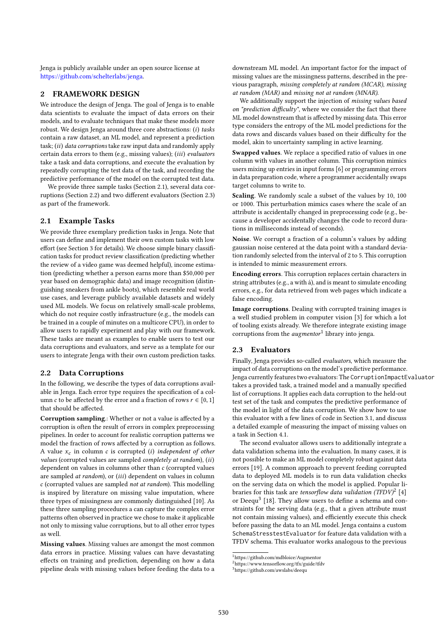Jenga is publicly available under an open source license at https://github.com/schelterlabs/jenga.

# 2 FRAMEWORK DESIGN

We introduce the design of Jenga. The goal of Jenga is to enable data scientists to evaluate the impact of data errors on their models, and to evaluate techniques that make these models more robust. We design Jenga around three core abstractions: (i) tasks contain a raw dataset, an ML model, and represent a prediction task;  $(ii)$  data corruptions take raw input data and randomly apply certain data errors to them (e.g., missing values); (iii) evaluators take a task and data corruptions, and execute the evaluation by repeatedly corrupting the test data of the task, and recording the predictive performance of the model on the corrupted test data.

We provide three sample tasks (Section 2.1), several data corruptions (Section 2.2) and two different evaluators (Section 2.3) as part of the framework.

#### 2.1 Example Tasks

We provide three exemplary prediction tasks in Jenga. Note that users can define and implement their own custom tasks with low effort (see Section 3 for details). We choose simple binary classification tasks for product review classification (predicting whether the review of a video game was deemed helpful), income estimation (predicting whether a person earns more than \$50,000 per year based on demographic data) and image recognition (distinguishing sneakers from ankle boots), which resemble real world use cases, and leverage publicly available datasets and widely used ML models. We focus on relatively small-scale problems, which do not require costly infrastructure (e.g., the models can be trained in a couple of minutes on a multicore CPU), in order to allow users to rapidly experiment and play with our framework. These tasks are meant as examples to enable users to test our data corruptions and evaluators, and serve as a template for our users to integrate Jenga with their own custom prediction tasks.

# 2.2 Data Corruptions

In the following, we describe the types of data corruptions available in Jenga. Each error type requires the specification of a column c to be affected by the error and a fraction of rows  $r \in [0, 1]$ that should be affected.

Corruption sampling.: Whether or not a value is affected by a corruption is often the result of errors in complex preprocessing pipelines. In order to account for realistic corruption patterns we model the fraction of rows affected by a corruption as follows. A value  $x_c$  in column  $c$  is corrupted (i) independent of other values (corrupted values are sampled completely at random), (ii) dependent on values in columns other than c (corrupted values are sampled at random), or (iii) dependent on values in column c (corrupted values are sampled not at random). This modelling is inspired by literature on missing value imputation, where three types of missingness are commonly distinguished [10]. As these three sampling procedures a can capture the complex error patterns often observed in practice we chose to make it applicable not only to missing value corruptions, but to all other error types as well.

Missing values. Missing values are amongst the most common data errors in practice. Missing values can have devastating effects on training and prediction, depending on how a data pipeline deals with missing values before feeding the data to a

downstream ML model. An important factor for the impact of missing values are the missingness patterns, described in the previous paragraph, missing completely at random (MCAR), missing at random (MAR) and missing not at random (MNAR).

We additionally support the injection of missing values based on "prediction difficulty", where we consider the fact that there ML model downstream that is affected by missing data. This error type considers the entropy of the ML model predictions for the data rows and discards values based on their difficulty for the model, akin to uncertainty sampling in active learning.

Swapped values. We replace a specified ratio of values in one column with values in another column. This corruption mimics users mixing up entries in input forms [6] or programming errors in data preparation code, where a programmer accidentally swaps target columns to write to.

Scaling. We randomly scale a subset of the values by 10, 100 or 1000. This perturbation mimics cases where the scale of an attribute is accidentally changed in preprocessing code (e.g., because a developer accidentally changes the code to record durations in milliseconds instead of seconds).

Noise. We corrupt a fraction of a column's values by adding gaussian noise centered at the data point with a standard deviation randomly selected from the interval of 2 to 5. This corruption is intended to mimic measurement errors.

Encoding errors. This corruption replaces certain characters in string attributes (e.g., a with á), and is meant to simulate encoding errors, e.g., for data retrieved from web pages which indicate a false encoding.

Image corruptions. Dealing with corrupted training images is a well studied problem in computer vision [3] for which a lot of tooling exists already. We therefore integrate existing image corruptions from the  $augmentor<sup>1</sup>$  library into jenga.

## 2.3 Evaluators

Finally, Jenga provides so-called evaluators, which measure the impact of data corruptions on the model's predictive performance. Jenga currently features two evaluators: The CorruptionImpactEvaluator takes a provided task, a trained model and a manually specified list of corruptions. It applies each data corruption to the held-out test set of the task and computes the predictive performance of the model in light of the data corruption. We show how to use this evaluator with a few lines of code in Section 3.1, and discuss a detailed example of measuring the impact of missing values on a task in Section 4.1.

The second evaluator allows users to additionally integrate a data validation schema into the evaluation. In many cases, it is not possible to make an ML model completely robust against data errors [19]. A common approach to prevent feeding corrupted data to deployed ML models is to run data validation checks on the serving data on which the model is applied. Popular libraries for this task are tensorflow data validation (TFDV)<sup>2</sup> [4] or Deequ<sup>3</sup> [18]. They allow users to define a schema and constraints for the serving data (e.g., that a given attribute must not contain missing values), and efficiently execute this check before passing the data to an ML model. Jenga contains a custom SchemaStresstestEvaluator for feature data validation with a TFDV schema. This evaluator works analogous to the previous

 $^{\rm 1}$ https://github.com/mdbloice/Augmentor

<sup>2</sup>https://www.tensorflow.org/tfx/guide/tfdv

<sup>3</sup>https://github.com/awslabs/deequ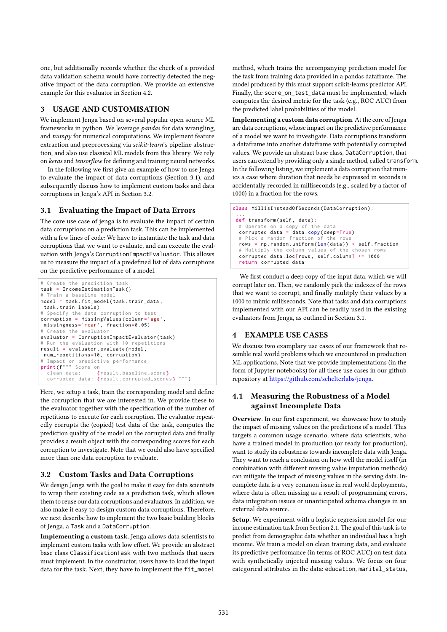one, but additionally records whether the check of a provided data validation schema would have correctly detected the negative impact of the data corruption. We provide an extensive example for this evaluator in Section 4.2.

## 3 USAGE AND CUSTOMISATION

We implement Jenga based on several popular open source ML frameworks in python. We leverage pandas for data wrangling, and numpy for numerical computations. We implement feature extraction and preprocessing via scikit-learn's pipeline abstraction, and also use classical ML models from this library. We rely on keras and tensorflow for defining and training neural networks.

In the following we first give an example of how to use Jenga to evaluate the impact of data corruptions (Section 3.1), and subsequently discuss how to implement custom tasks and data corruptions in Jenga's API in Section 3.2.

# 3.1 Evaluating the Impact of Data Errors

The core use case of jenga is to evaluate the impact of certain data corruptions on a prediction task. This can be implemented with a few lines of code: We have to instantiate the task and data corruptions that we want to evaluate, and can execute the evaluation with Jenga's CorruptionImpactEvaluator. This allows us to measure the impact of a predefined list of data corruptions on the predictive performance of a model.

```
# Create the prediction task
task = IncomeEstimationTask ()
  Train a baseline model
model = task. fit model ( task . train data ,
 task . train_labels )
# Specify the data corruption to test
corruption = MissingValues ( column ='age ',
missingness ='mcar ', fraction =0 . 05 )
# Create the evaluator
evaluator = CorruptionImpactEvaluator ( task )
 Run the evaluation with 10 repetitions
result = evaluator . evaluate ( model ,
 num_repetitions =10 , corruption )
# Impact on predictive performance<br>print(f""" Score on
  clean data : { result . baseline_score }
  corrupted data: { result . corrupted_scores }
```
Here, we setup a task, train the corresponding model and define the corruption that we are interested in. We provide these to the evaluator together with the specification of the number of repetitions to execute for each corruption. The evaluator repeatedly corrupts the (copied) test data of the task, computes the prediction quality of the model on the corrupted data and finally provides a result object with the corresponding scores for each corruption to investigate. Note that we could also have specified more than one data corruption to evaluate.

## 3.2 Custom Tasks and Data Corruptions

We design Jenga with the goal to make it easy for data scientists to wrap their existing code as a prediction task, which allows them to reuse our data corruptions and evaluators. In addition, we also make it easy to design custom data corruptions. Therefore, we next describe how to implement the two basic building blocks of Jenga, a Task and a DataCorruption.

Implementing a custom task. Jenga allows data scientists to implement custom tasks with low effort. We provide an abstract base class ClassificationTask with two methods that users must implement. In the constructor, users have to load the input data for the task. Next, they have to implement the fit\_model

method, which trains the accompanying prediction model for the task from training data provided in a pandas dataframe. The model produced by this must support scikit-learns predictor API. Finally, the score\_on\_test\_data must be implemented, which computes the desired metric for the task (e.g., ROC AUC) from the predicted label probabilities of the model.

Implementing a custom data corruption. At the core of Jenga are data corruptions, whose impact on the predictive performance of a model we want to investigate. Data corruptions transform a dataframe into another dataframe with potentially corrupted values. We provide an abstract base class, DataCorruption, that users can extend by providing only a single method, called transform. In the following listing, we implement a data corruption that mimics a case where duration that needs be expressed in seconds is accidentally recorded in milliseconds (e.g., scaled by a factor of 1000) in a fraction for the rows.

```
class MillisInsteadOfSeconds (DataCorruption)
 ...
def transform ( self , data ):
 # Operate on a copy of the data
  corrupted_data = data.copy(deep=True)Pick a random fraction of the rows
  rows = np.random.uniform(len(data)) < self.fraction
  # Multiply the column values of the chosen rows
  corrupted\_data. loc [rows, self.colum] \star= 1000
  return corrupted_data
```
We first conduct a deep copy of the input data, which we will corrupt later on. Then, we randomly pick the indexes of the rows that we want to corrupt, and finally mulitply their values by a 1000 to mimic milliseconds. Note that tasks and data corruptions implemented with our API can be readily used in the existing evaluators from Jenga, as outlined in Section 3.1.

# 4 EXAMPLE USE CASES

We discuss two examplary use cases of our framework that resemble real world problems which we encountered in production ML applications. Note that we provide implementations (in the form of Jupyter notebooks) for all these use cases in our github repository at https://github.com/schelterlabs/jenga.

# 4.1 Measuring the Robustness of a Model against Incomplete Data

Overview. In our first experiment, we showcase how to study the impact of missing values on the predictions of a model. This targets a common usage scenario, where data scientists, who have a trained model in production (or ready for production), want to study its robustness towards incomplete data with Jenga. They want to reach a conclusion on how well the model itself (in combination with different missing value imputation methods) can mitigate the impact of missing values in the serving data. Incomplete data is a very common issue in real world deployments, where data is often missing as a result of programming errors, data integration issues or unanticipated schema changes in an external data source.

Setup. We experiment with a logistic regression model for our income estimation task from Section 2.1. The goal of this task is to predict from demographic data whether an individual has a high income. We train a model on clean training data, and evaluate its predictive performance (in terms of ROC AUC) on test data with synthetically injected missing values. We focus on four categorical attributes in the data: education, marital\_status,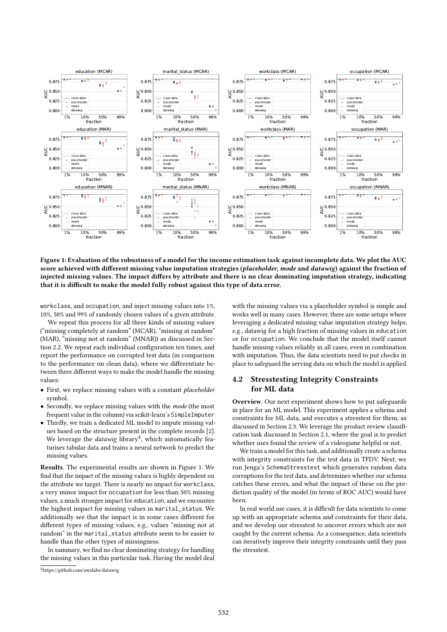

Figure 1: Evaluation of the robustness of a model for the income estimation task against incomplete data. We plot the AUC score achieved with different missing value imputation strategies (placeholder, mode and datawig) against the fraction of injected missing values. The impact differs by attribute and there is no clear dominating imputation strategy, indicating that it is difficult to make the model fully robust against this type of data error.

workclass, and occupation, and inject missing values into 1%, 10%, 50% and 99% of randomly chosen values of a given attribute.

We repeat this process for all three kinds of missing values ("missing completely at random" (MCAR), "missing at random" (MAR), "missing not at random" (MNAR)) as discussed in Section 2.2. We repeat each individual configuration ten times, and report the performance on corrupted test data (in comparison to the performance on clean data), where we differentiate between three different ways to make the model handle the missing values:

- First, we replace missing values with a constant placeholder symbol.
- Secondly, we replace missing values with the mode (the most frequent value in the column) via scikit-learn's SimpleImputer
- Thirdly, we train a dedicated ML model to impute missing values based on the structure present in the complete records [2]. We leverage the *datawig* library<sup>4</sup>, which automatically featurises tabular data and trains a neural network to predict the missing values.

Results. The experimental results are shown in Figure 1. We find that the impact of the missing values is highly dependent on the attribute we target. There is nearly no impact for workclass, a very minor impact for occupation for less than 50% missing values, a much stronger impact for education, and we encounter the highest impact for missing values in marital\_status. We additionally see that the impact is in some cases different for different types of missing values, e.g., values "missing not at random" in the marital\_status attribute seem to be easier to handle than the other types of missingness.

In summary, we find no clear dominating strategy for handling the missing values in this particular task. Having the model deal

with the missing values via a placeholder symbol is simple and works well in many cases. However, there are some setups where leveraging a dedicated missing value imputation strategy helps, e.g., datawig for a high fraction of missing values in education or for occupation. We conclude that the model itself cannot handle missing values reliably in all cases, even in combination with imputation. Thus, the data scientists need to put checks in place to safeguard the serving data on which the model is applied.

# 4.2 Stresstesting Integrity Constraints for ML data

Overview. Our next experiment shows how to put safeguards in place for an ML model. This experiment applies a schema and constraints for ML data, and executes a stresstest for them, as discussed in Section 2.3. We leverage the product review classification task discussed in Section 2.1, where the goal is to predict whether uses found the review of a videogame helpful or not.

We train a model for this task, and additionally create a schema with integrity constraints for the test data in TFDV. Next, we run Jenga's SchemaStresstest which generates random data corruptions for the test data, and determines whether our schema catches these errors, and what the impact of these on the prediction quality of the model (in terms of ROC AUC) would have been.

In real world use cases, it is difficult for data scientists to come up with an appropriate schema and constraints for their data, and we develop our stresstest to uncover errors which are not caught by the current schema. As a consequence, data scientists can iteratively improve their integrity constraints until they pass the stresstest.

<sup>4</sup>https://github.com/awslabs/datawig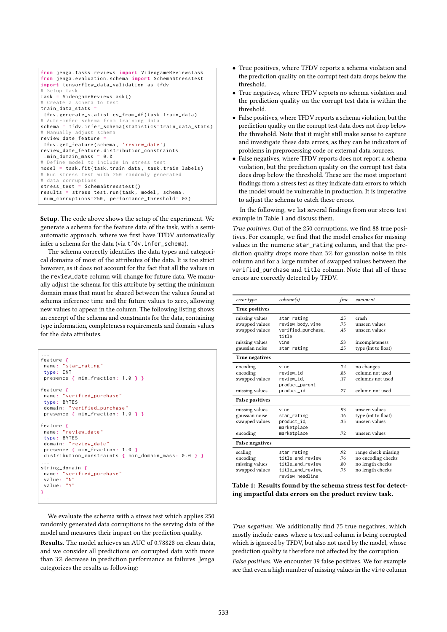```
from jenga . tasks . reviews import VideogameReviewsTask
from jenga . evaluation . schema import SchemaStresstest
import tensorflow_data_validation as tfdv
  Setup task
task = VideogameReviewsTask ()
# Create a schema to test
train_data_stats =
 tfdv . generate_statistics_from_df ( task . train_data )
# Auto-infer schema from training data
schema = tfdv . infer_schema ( statistics = train_data_stats )
# Manually adjust schema
review_date_feature =
tfdv . get_feature ( schema , ' review_date ')
review_date_feature . distribution_constraints
 . min domain mass = 0.0# Define model to include in stress test
model = task.fit(task.train_data, task.train_labels)
# Run stress test with 250 randomly generated
# data corruptions
stress_test = SchemaStresstest ()
results = stress_test . run ( task , model , schema ,
num_corruptions=250, performance_threshold=.03)
```
Setup. The code above shows the setup of the experiment. We generate a schema for the feature data of the task, with a semiautomatic approach, where we first have TFDV automatically infer a schema for the data (via tfdv.infer\_schema).

The schema correctly identifies the data types and categorical domains of most of the attributes of the data. It is too strict however, as it does not account for the fact that all the values in the review\_date column will change for future data. We manually adjust the schema for this attribute by setting the minimum domain mass that must be shared between the values found at schema inference time and the future values to zero, allowing new values to appear in the column. The following listing shows an excerpt of the schema and constraints for the data, containing type information, completeness requirements and domain values for the data attributes.

```
...
feature {
 name : " star_rating "
 type : INT
 presence { min_fraction : 1 . 0 } }
feature {
 name : " verified_purchase "
 type : BYTES
 domain : " verified_purchase "
 presence { min_fraction : 1 . 0 } }
feature {
name : " review_date "
 type : BYTES
 domain : " review_date "
 presence { min_fraction : 1 . 0 }
 distribution_constraints { min_domain_mass : 0 . 0 } }
...
string_domain {
 name: "verified purchase"
 value : "N"
value : "Y"
}
...
```
We evaluate the schema with a stress test which applies 250 randomly generated data corruptions to the serving data of the model and measures their impact on the prediction quality.

Results. The model achieves an AUC of 0.78828 on clean data, and we consider all predictions on corrupted data with more than 3% decrease in prediction performance as failures. Jenga categorizes the results as following:

- True positives, where TFDV reports a schema violation and the prediction quality on the corrupt test data drops below the threshold.
- True negatives, where TFDV reports no schema violation and the prediction quality on the corrupt test data is within the threshold.
- False positives, where TFDV reports a schema violation, but the prediction quality on the corrupt test data does not drop below the threshold. Note that it might still make sense to capture and investigate these data errors, as they can be indicators of problems in preprocessing code or external data sources.
- False negatives, where TFDV reports does not report a schema violation, but the prediction quality on the corrupt test data does drop below the threshold. These are the most important findings from a stress test as they indicate data errors to which the model would be vulnerable in production. It is imperative to adjust the schema to catch these errors.

In the following, we list several findings from our stress test example in Table 1 and discuss them.

True positives. Out of the 250 corruptions, we find 88 true positives. For example, we find that the model crashes for missing values in the numeric star\_rating column, and that the prediction quality drops more than 3% for gaussian noise in this column and for a large number of swapped values between the verified\_purchase and title column. Note that all of these errors are correctly detected by TFDV.

| error type             | column(s)          | frac | comment             |
|------------------------|--------------------|------|---------------------|
| True positives         |                    |      |                     |
| missing values         | star_rating        | .25  | crash               |
| swapped values         | review_body, vine  | .75  | unseen values       |
| swapped values         | verified_purchase, | .45  | unseen values       |
|                        | title              |      |                     |
| missing values         | vine               | .53  | incompleteness      |
| gaussian noise         | star_rating        | .25  | type (int to float) |
| <b>True negatives</b>  |                    |      |                     |
| encoding               | vine               | .72  | no changes          |
| encoding               | review id          | .83  | column not used     |
| swapped values         | review_id.         | .17  | columns not used    |
|                        | product_parent     |      |                     |
| missing values         | product_id         | .27  | column not used     |
| <b>False positives</b> |                    |      |                     |
| missing values         | vine               | .93  | unseen values       |
| gaussian noise         | star_rating        | .16  | type (int to float) |
| swapped values         | product_id,        | .35  | unseen values       |
|                        | marketplace        |      |                     |
| encoding               | marketplace        | .72  | unseen values       |
| <b>False negatives</b> |                    |      |                     |
| scaling                | star_rating        | .92  | range check missing |
| encoding               | title_and_review   | .76  | no encoding checks  |
| missing values         | title and review   | .80  | no length checks    |
| swapped values         | title_and_review,  | .75  | no length checks    |
|                        | review headline    |      |                     |

Table 1: Results found by the schema stress test for detecting impactful data errors on the product review task.

True negatives. We additionally find 75 true negatives, which mostly include cases where a textual column is being corrupted which is ignored by TFDV, but also not used by the model, whose prediction quality is therefore not affected by the corruption. False positives. We encounter 39 false positives. We for example see that even a high number of missing values in the vine column